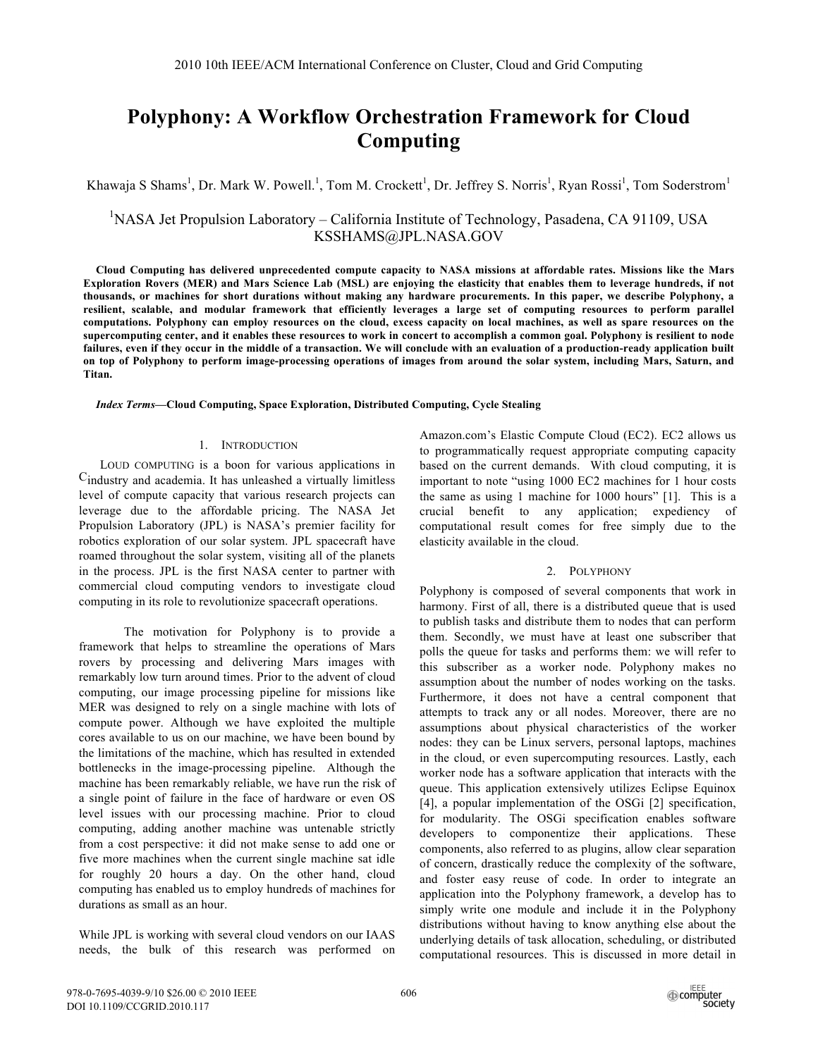# **Polyphony: A Workflow Orchestration Framework for Cloud Computing**

Khawaja S Shams<sup>1</sup>, Dr. Mark W. Powell.<sup>1</sup>, Tom M. Crockett<sup>1</sup>, Dr. Jeffrey S. Norris<sup>1</sup>, Ryan Rossi<sup>1</sup>, Tom Soderstrom<sup>1</sup>

# <sup>1</sup>NASA Jet Propulsion Laboratory – California Institute of Technology, Pasadena, CA 91109, USA KSSHAMS@JPL.NASA.GOV

**Cloud Computing has delivered unprecedented compute capacity to NASA missions at affordable rates. Missions like the Mars Exploration Rovers (MER) and Mars Science Lab (MSL) are enjoying the elasticity that enables them to leverage hundreds, if not thousands, or machines for short durations without making any hardware procurements. In this paper, we describe Polyphony, a resilient, scalable, and modular framework that efficiently leverages a large set of computing resources to perform parallel computations. Polyphony can employ resources on the cloud, excess capacity on local machines, as well as spare resources on the supercomputing center, and it enables these resources to work in concert to accomplish a common goal. Polyphony is resilient to node failures, even if they occur in the middle of a transaction. We will conclude with an evaluation of a production-ready application built on top of Polyphony to perform image-processing operations of images from around the solar system, including Mars, Saturn, and Titan.** 

#### *Index Terms***—Cloud Computing, Space Exploration, Distributed Computing, Cycle Stealing**

#### 1. INTRODUCTION

LOUD COMPUTING is a boon for various applications in Cindustry and academia. It has unleashed a virtually limitless level of compute capacity that various research projects can leverage due to the affordable pricing. The NASA Jet Propulsion Laboratory (JPL) is NASA's premier facility for robotics exploration of our solar system. JPL spacecraft have roamed throughout the solar system, visiting all of the planets in the process. JPL is the first NASA center to partner with commercial cloud computing vendors to investigate cloud computing in its role to revolutionize spacecraft operations.

The motivation for Polyphony is to provide a framework that helps to streamline the operations of Mars rovers by processing and delivering Mars images with remarkably low turn around times. Prior to the advent of cloud computing, our image processing pipeline for missions like MER was designed to rely on a single machine with lots of compute power. Although we have exploited the multiple cores available to us on our machine, we have been bound by the limitations of the machine, which has resulted in extended bottlenecks in the image-processing pipeline. Although the machine has been remarkably reliable, we have run the risk of a single point of failure in the face of hardware or even OS level issues with our processing machine. Prior to cloud computing, adding another machine was untenable strictly from a cost perspective: it did not make sense to add one or five more machines when the current single machine sat idle for roughly 20 hours a day. On the other hand, cloud computing has enabled us to employ hundreds of machines for durations as small as an hour.

While JPL is working with several cloud vendors on our IAAS needs, the bulk of this research was performed on Amazon.com's Elastic Compute Cloud (EC2). EC2 allows us to programmatically request appropriate computing capacity based on the current demands. With cloud computing, it is important to note "using 1000 EC2 machines for 1 hour costs the same as using 1 machine for 1000 hours" [1]. This is a crucial benefit to any application; expediency of computational result comes for free simply due to the elasticity available in the cloud.

# 2. POLYPHONY

Polyphony is composed of several components that work in harmony. First of all, there is a distributed queue that is used to publish tasks and distribute them to nodes that can perform them. Secondly, we must have at least one subscriber that polls the queue for tasks and performs them: we will refer to this subscriber as a worker node. Polyphony makes no assumption about the number of nodes working on the tasks. Furthermore, it does not have a central component that attempts to track any or all nodes. Moreover, there are no assumptions about physical characteristics of the worker nodes: they can be Linux servers, personal laptops, machines in the cloud, or even supercomputing resources. Lastly, each worker node has a software application that interacts with the queue. This application extensively utilizes Eclipse Equinox [4], a popular implementation of the OSGi [2] specification, for modularity. The OSGi specification enables software developers to componentize their applications. These components, also referred to as plugins, allow clear separation of concern, drastically reduce the complexity of the software, and foster easy reuse of code. In order to integrate an application into the Polyphony framework, a develop has to simply write one module and include it in the Polyphony distributions without having to know anything else about the underlying details of task allocation, scheduling, or distributed computational resources. This is discussed in more detail in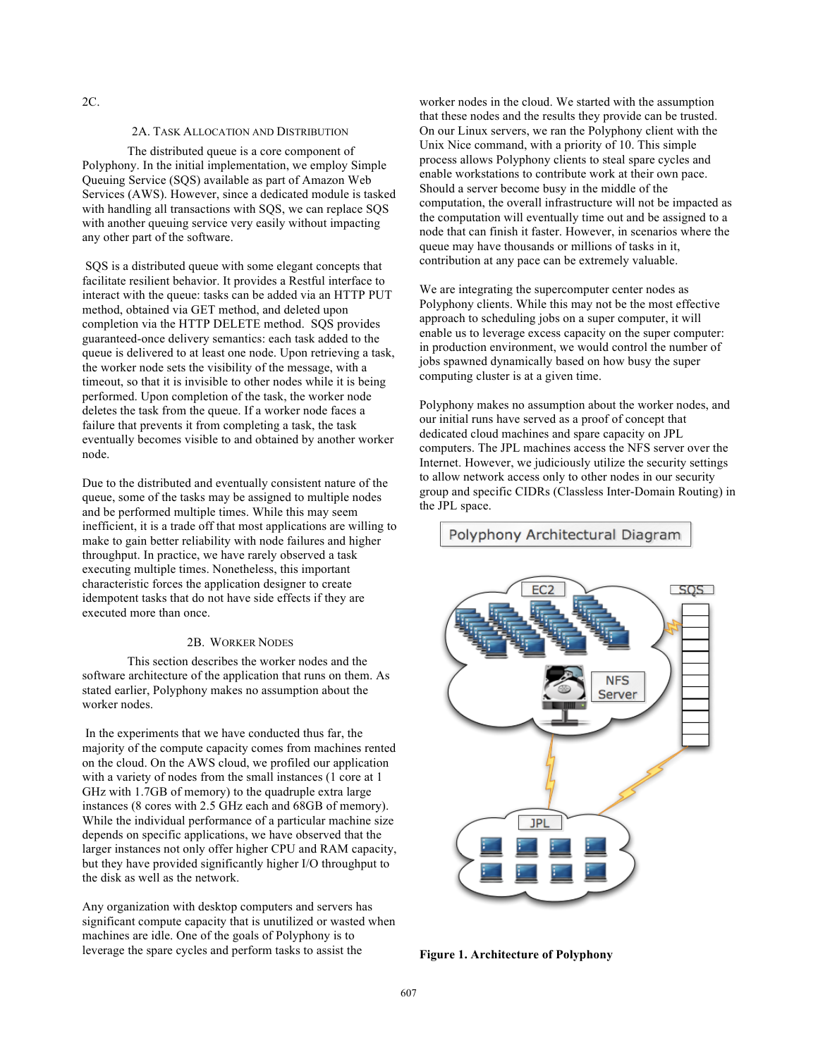#### 2C.

### 2A. TASK ALLOCATION AND DISTRIBUTION

The distributed queue is a core component of Polyphony. In the initial implementation, we employ Simple Queuing Service (SQS) available as part of Amazon Web Services (AWS). However, since a dedicated module is tasked with handling all transactions with SOS, we can replace SOS with another queuing service very easily without impacting any other part of the software.

SQS is a distributed queue with some elegant concepts that facilitate resilient behavior. It provides a Restful interface to interact with the queue: tasks can be added via an HTTP PUT method, obtained via GET method, and deleted upon completion via the HTTP DELETE method. SQS provides guaranteed-once delivery semantics: each task added to the queue is delivered to at least one node. Upon retrieving a task, the worker node sets the visibility of the message, with a timeout, so that it is invisible to other nodes while it is being performed. Upon completion of the task, the worker node deletes the task from the queue. If a worker node faces a failure that prevents it from completing a task, the task eventually becomes visible to and obtained by another worker node.

Due to the distributed and eventually consistent nature of the queue, some of the tasks may be assigned to multiple nodes and be performed multiple times. While this may seem inefficient, it is a trade off that most applications are willing to make to gain better reliability with node failures and higher throughput. In practice, we have rarely observed a task executing multiple times. Nonetheless, this important characteristic forces the application designer to create idempotent tasks that do not have side effects if they are executed more than once.

#### 2B. WORKER NODES

This section describes the worker nodes and the software architecture of the application that runs on them. As stated earlier, Polyphony makes no assumption about the worker nodes.

 In the experiments that we have conducted thus far, the majority of the compute capacity comes from machines rented on the cloud. On the AWS cloud, we profiled our application with a variety of nodes from the small instances (1 core at 1 GHz with 1.7GB of memory) to the quadruple extra large instances (8 cores with 2.5 GHz each and 68GB of memory). While the individual performance of a particular machine size depends on specific applications, we have observed that the larger instances not only offer higher CPU and RAM capacity, but they have provided significantly higher I/O throughput to the disk as well as the network.

Any organization with desktop computers and servers has significant compute capacity that is unutilized or wasted when machines are idle. One of the goals of Polyphony is to leverage the spare cycles and perform tasks to assist the

worker nodes in the cloud. We started with the assumption that these nodes and the results they provide can be trusted. On our Linux servers, we ran the Polyphony client with the Unix Nice command, with a priority of 10. This simple process allows Polyphony clients to steal spare cycles and enable workstations to contribute work at their own pace. Should a server become busy in the middle of the computation, the overall infrastructure will not be impacted as the computation will eventually time out and be assigned to a node that can finish it faster. However, in scenarios where the queue may have thousands or millions of tasks in it, contribution at any pace can be extremely valuable.

We are integrating the supercomputer center nodes as Polyphony clients. While this may not be the most effective approach to scheduling jobs on a super computer, it will enable us to leverage excess capacity on the super computer: in production environment, we would control the number of jobs spawned dynamically based on how busy the super computing cluster is at a given time.

Polyphony makes no assumption about the worker nodes, and our initial runs have served as a proof of concept that dedicated cloud machines and spare capacity on JPL computers. The JPL machines access the NFS server over the Internet. However, we judiciously utilize the security settings to allow network access only to other nodes in our security group and specific CIDRs (Classless Inter-Domain Routing) in the JPL space.

# Polyphony Architectural Diagram



**Figure 1. Architecture of Polyphony**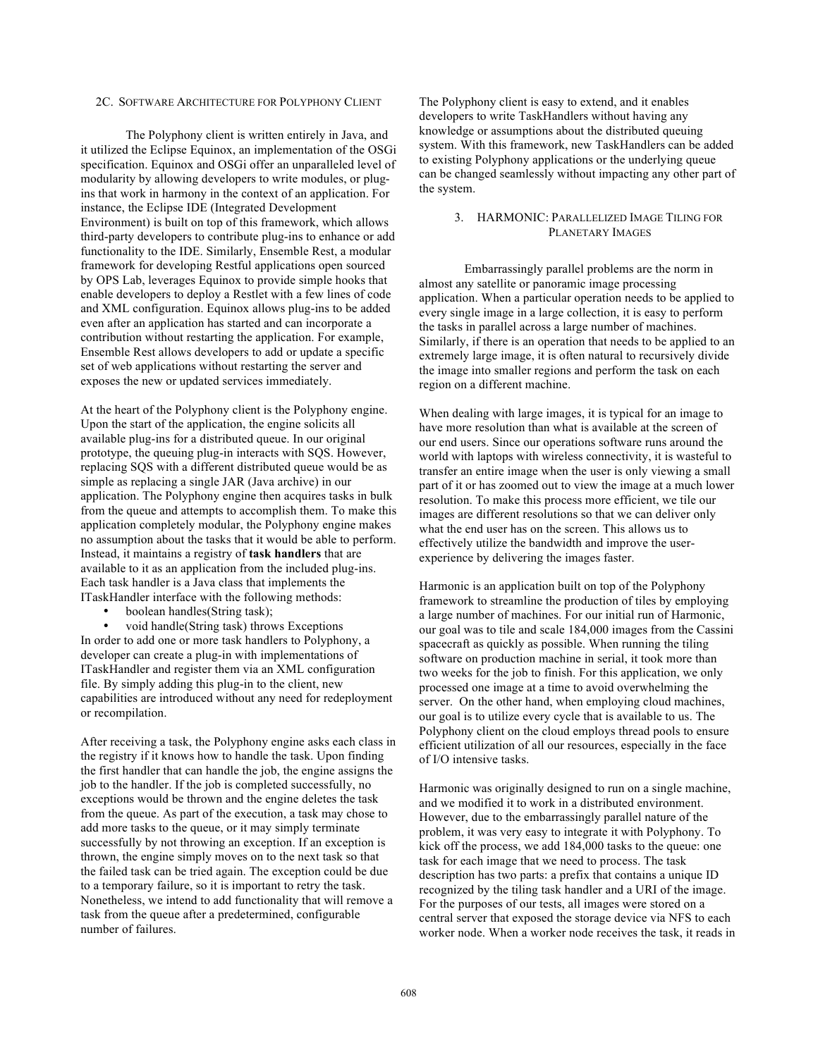#### 2C. SOFTWARE ARCHITECTURE FOR POLYPHONY CLIENT

The Polyphony client is written entirely in Java, and it utilized the Eclipse Equinox, an implementation of the OSGi specification. Equinox and OSGi offer an unparalleled level of modularity by allowing developers to write modules, or plugins that work in harmony in the context of an application. For instance, the Eclipse IDE (Integrated Development Environment) is built on top of this framework, which allows third-party developers to contribute plug-ins to enhance or add functionality to the IDE. Similarly, Ensemble Rest, a modular framework for developing Restful applications open sourced by OPS Lab, leverages Equinox to provide simple hooks that enable developers to deploy a Restlet with a few lines of code and XML configuration. Equinox allows plug-ins to be added even after an application has started and can incorporate a contribution without restarting the application. For example, Ensemble Rest allows developers to add or update a specific set of web applications without restarting the server and exposes the new or updated services immediately.

At the heart of the Polyphony client is the Polyphony engine. Upon the start of the application, the engine solicits all available plug-ins for a distributed queue. In our original prototype, the queuing plug-in interacts with SQS. However, replacing SQS with a different distributed queue would be as simple as replacing a single JAR (Java archive) in our application. The Polyphony engine then acquires tasks in bulk from the queue and attempts to accomplish them. To make this application completely modular, the Polyphony engine makes no assumption about the tasks that it would be able to perform. Instead, it maintains a registry of **task handlers** that are available to it as an application from the included plug-ins. Each task handler is a Java class that implements the ITaskHandler interface with the following methods:

• boolean handles(String task);

• void handle(String task) throws Exceptions In order to add one or more task handlers to Polyphony, a developer can create a plug-in with implementations of ITaskHandler and register them via an XML configuration file. By simply adding this plug-in to the client, new capabilities are introduced without any need for redeployment or recompilation.

After receiving a task, the Polyphony engine asks each class in the registry if it knows how to handle the task. Upon finding the first handler that can handle the job, the engine assigns the job to the handler. If the job is completed successfully, no exceptions would be thrown and the engine deletes the task from the queue. As part of the execution, a task may chose to add more tasks to the queue, or it may simply terminate successfully by not throwing an exception. If an exception is thrown, the engine simply moves on to the next task so that the failed task can be tried again. The exception could be due to a temporary failure, so it is important to retry the task. Nonetheless, we intend to add functionality that will remove a task from the queue after a predetermined, configurable number of failures.

The Polyphony client is easy to extend, and it enables developers to write TaskHandlers without having any knowledge or assumptions about the distributed queuing system. With this framework, new TaskHandlers can be added to existing Polyphony applications or the underlying queue can be changed seamlessly without impacting any other part of the system.

#### 3. HARMONIC: PARALLELIZED IMAGE TILING FOR PLANETARY IMAGES

Embarrassingly parallel problems are the norm in almost any satellite or panoramic image processing application. When a particular operation needs to be applied to every single image in a large collection, it is easy to perform the tasks in parallel across a large number of machines. Similarly, if there is an operation that needs to be applied to an extremely large image, it is often natural to recursively divide the image into smaller regions and perform the task on each region on a different machine.

When dealing with large images, it is typical for an image to have more resolution than what is available at the screen of our end users. Since our operations software runs around the world with laptops with wireless connectivity, it is wasteful to transfer an entire image when the user is only viewing a small part of it or has zoomed out to view the image at a much lower resolution. To make this process more efficient, we tile our images are different resolutions so that we can deliver only what the end user has on the screen. This allows us to effectively utilize the bandwidth and improve the userexperience by delivering the images faster.

Harmonic is an application built on top of the Polyphony framework to streamline the production of tiles by employing a large number of machines. For our initial run of Harmonic, our goal was to tile and scale 184,000 images from the Cassini spacecraft as quickly as possible. When running the tiling software on production machine in serial, it took more than two weeks for the job to finish. For this application, we only processed one image at a time to avoid overwhelming the server. On the other hand, when employing cloud machines, our goal is to utilize every cycle that is available to us. The Polyphony client on the cloud employs thread pools to ensure efficient utilization of all our resources, especially in the face of I/O intensive tasks.

Harmonic was originally designed to run on a single machine, and we modified it to work in a distributed environment. However, due to the embarrassingly parallel nature of the problem, it was very easy to integrate it with Polyphony. To kick off the process, we add 184,000 tasks to the queue: one task for each image that we need to process. The task description has two parts: a prefix that contains a unique ID recognized by the tiling task handler and a URI of the image. For the purposes of our tests, all images were stored on a central server that exposed the storage device via NFS to each worker node. When a worker node receives the task, it reads in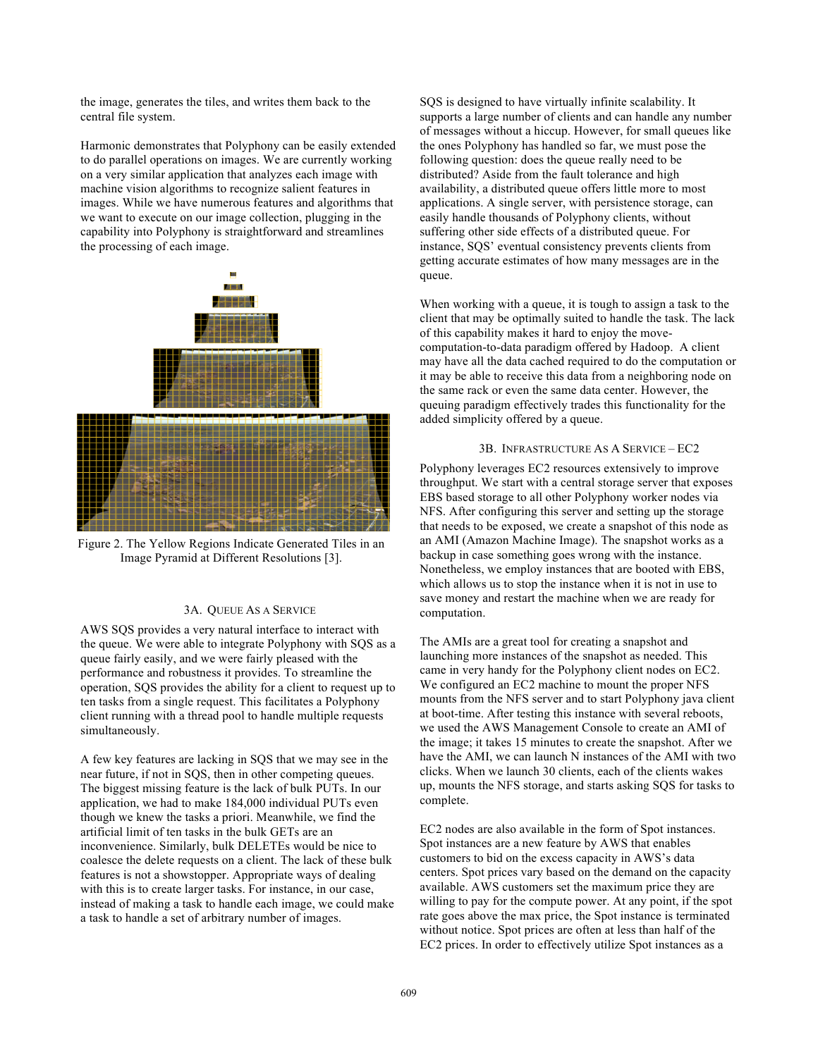the image, generates the tiles, and writes them back to the central file system.

Harmonic demonstrates that Polyphony can be easily extended to do parallel operations on images. We are currently working on a very similar application that analyzes each image with machine vision algorithms to recognize salient features in images. While we have numerous features and algorithms that we want to execute on our image collection, plugging in the capability into Polyphony is straightforward and streamlines the processing of each image.



Figure 2. The Yellow Regions Indicate Generated Tiles in an Image Pyramid at Different Resolutions [3].

# 3A. QUEUE AS A SERVICE

AWS SQS provides a very natural interface to interact with the queue. We were able to integrate Polyphony with SQS as a queue fairly easily, and we were fairly pleased with the performance and robustness it provides. To streamline the operation, SQS provides the ability for a client to request up to ten tasks from a single request. This facilitates a Polyphony client running with a thread pool to handle multiple requests simultaneously.

A few key features are lacking in SQS that we may see in the near future, if not in SQS, then in other competing queues. The biggest missing feature is the lack of bulk PUTs. In our application, we had to make 184,000 individual PUTs even though we knew the tasks a priori. Meanwhile, we find the artificial limit of ten tasks in the bulk GETs are an inconvenience. Similarly, bulk DELETEs would be nice to coalesce the delete requests on a client. The lack of these bulk features is not a showstopper. Appropriate ways of dealing with this is to create larger tasks. For instance, in our case, instead of making a task to handle each image, we could make a task to handle a set of arbitrary number of images.

SQS is designed to have virtually infinite scalability. It supports a large number of clients and can handle any number of messages without a hiccup. However, for small queues like the ones Polyphony has handled so far, we must pose the following question: does the queue really need to be distributed? Aside from the fault tolerance and high availability, a distributed queue offers little more to most applications. A single server, with persistence storage, can easily handle thousands of Polyphony clients, without suffering other side effects of a distributed queue. For instance, SQS' eventual consistency prevents clients from getting accurate estimates of how many messages are in the queue.

When working with a queue, it is tough to assign a task to the client that may be optimally suited to handle the task. The lack of this capability makes it hard to enjoy the movecomputation-to-data paradigm offered by Hadoop. A client may have all the data cached required to do the computation or it may be able to receive this data from a neighboring node on the same rack or even the same data center. However, the queuing paradigm effectively trades this functionality for the added simplicity offered by a queue.

# 3B. INFRASTRUCTURE AS A SERVICE – EC2

Polyphony leverages EC2 resources extensively to improve throughput. We start with a central storage server that exposes EBS based storage to all other Polyphony worker nodes via NFS. After configuring this server and setting up the storage that needs to be exposed, we create a snapshot of this node as an AMI (Amazon Machine Image). The snapshot works as a backup in case something goes wrong with the instance. Nonetheless, we employ instances that are booted with EBS, which allows us to stop the instance when it is not in use to save money and restart the machine when we are ready for computation.

The AMIs are a great tool for creating a snapshot and launching more instances of the snapshot as needed. This came in very handy for the Polyphony client nodes on EC2. We configured an EC2 machine to mount the proper NFS mounts from the NFS server and to start Polyphony java client at boot-time. After testing this instance with several reboots, we used the AWS Management Console to create an AMI of the image; it takes 15 minutes to create the snapshot. After we have the AMI, we can launch N instances of the AMI with two clicks. When we launch 30 clients, each of the clients wakes up, mounts the NFS storage, and starts asking SQS for tasks to complete.

EC2 nodes are also available in the form of Spot instances. Spot instances are a new feature by AWS that enables customers to bid on the excess capacity in AWS's data centers. Spot prices vary based on the demand on the capacity available. AWS customers set the maximum price they are willing to pay for the compute power. At any point, if the spot rate goes above the max price, the Spot instance is terminated without notice. Spot prices are often at less than half of the EC2 prices. In order to effectively utilize Spot instances as a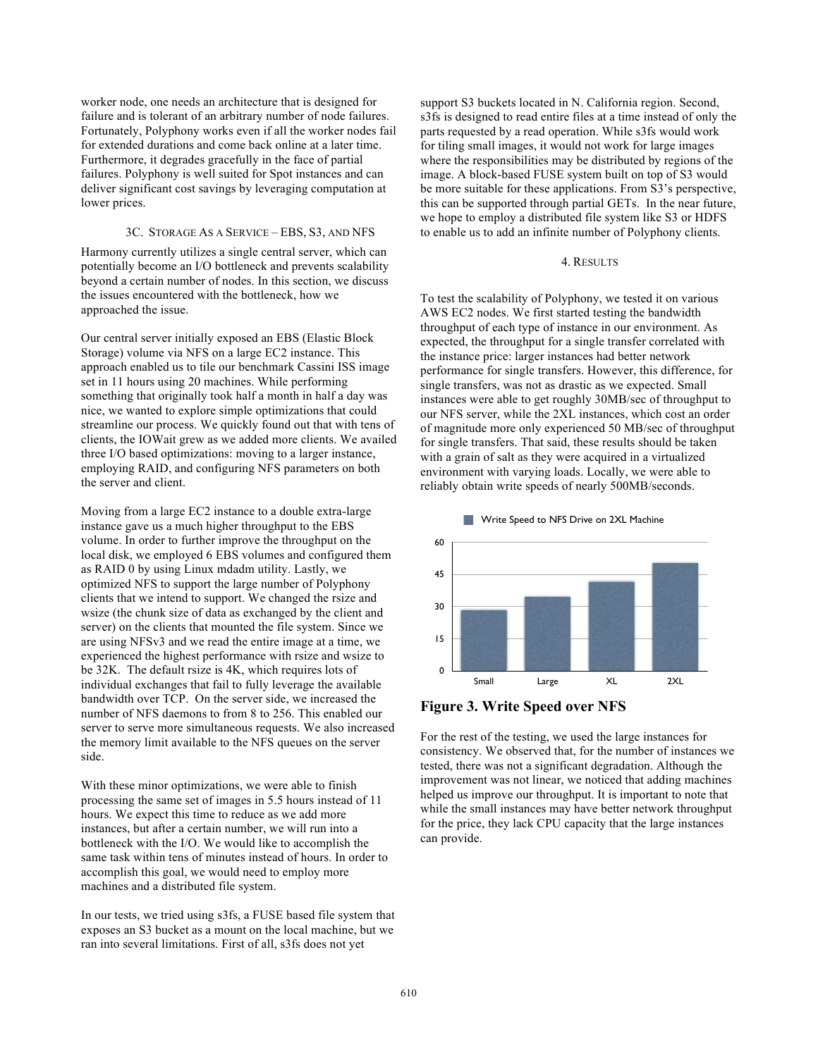worker node, one needs an architecture that is designed for failure and is tolerant of an arbitrary number of node failures. Fortunately, Polyphony works even if all the worker nodes fail for extended durations and come back online at a later time. Furthermore, it degrades gracefully in the face of partial failures. Polyphony is well suited for Spot instances and can deliver significant cost savings by leveraging computation at lower prices.

#### 3C. STORAGE AS A SERVICE – EBS, S3, AND NFS

Harmony currently utilizes a single central server, which can potentially become an I/O bottleneck and prevents scalability beyond a certain number of nodes. In this section, we discuss the issues encountered with the bottleneck, how we approached the issue.

Our central server initially exposed an EBS (Elastic Block Storage) volume via NFS on a large EC2 instance. This approach enabled us to tile our benchmark Cassini ISS image set in 11 hours using 20 machines. While performing something that originally took half a month in half a day was nice, we wanted to explore simple optimizations that could streamline our process. We quickly found out that with tens of clients, the IOWait grew as we added more clients. We availed three I/O based optimizations: moving to a larger instance, employing RAID, and configuring NFS parameters on both the server and client.

Moving from a large EC2 instance to a double extra-large instance gave us a much higher throughput to the EBS volume. In order to further improve the throughput on the local disk, we employed 6 EBS volumes and configured them as RAID 0 by using Linux mdadm utility. Lastly, we optimized NFS to support the large number of Polyphony clients that we intend to support. We changed the rsize and wsize (the chunk size of data as exchanged by the client and server) on the clients that mounted the file system. Since we are using NFSv3 and we read the entire image at a time, we experienced the highest performance with rsize and wsize to be 32K. The default rsize is 4K, which requires lots of individual exchanges that fail to fully leverage the available bandwidth over TCP. On the server side, we increased the number of NFS daemons to from 8 to 256. This enabled our server to serve more simultaneous requests. We also increased the memory limit available to the NFS queues on the server side.

With these minor optimizations, we were able to finish processing the same set of images in 5.5 hours instead of 11 hours. We expect this time to reduce as we add more instances, but after a certain number, we will run into a bottleneck with the I/O. We would like to accomplish the same task within tens of minutes instead of hours. In order to accomplish this goal, we would need to employ more machines and a distributed file system.

In our tests, we tried using s3fs, a FUSE based file system that exposes an S3 bucket as a mount on the local machine, but we ran into several limitations. First of all, s3fs does not yet

support S3 buckets located in N. California region. Second, s3fs is designed to read entire files at a time instead of only the parts requested by a read operation. While s3fs would work for tiling small images, it would not work for large images where the responsibilities may be distributed by regions of the image. A block-based FUSE system built on top of S3 would be more suitable for these applications. From S3's perspective, this can be supported through partial GETs. In the near future, we hope to employ a distributed file system like S3 or HDFS to enable us to add an infinite number of Polyphony clients.

#### 4. RESULTS

To test the scalability of Polyphony, we tested it on various AWS EC2 nodes. We first started testing the bandwidth throughput of each type of instance in our environment. As expected, the throughput for a single transfer correlated with the instance price: larger instances had better network performance for single transfers. However, this difference, for single transfers, was not as drastic as we expected. Small instances were able to get roughly 30MB/sec of throughput to our NFS server, while the 2XL instances, which cost an order of magnitude more only experienced 50 MB/sec of throughput for single transfers. That said, these results should be taken with a grain of salt as they were acquired in a virtualized environment with varying loads. Locally, we were able to reliably obtain write speeds of nearly 500MB/seconds.



**Figure 3. Write Speed over NFS**

For the rest of the testing, we used the large instances for consistency. We observed that, for the number of instances we tested, there was not a significant degradation. Although the improvement was not linear, we noticed that adding machines helped us improve our throughput. It is important to note that while the small instances may have better network throughput for the price, they lack CPU capacity that the large instances can provide.